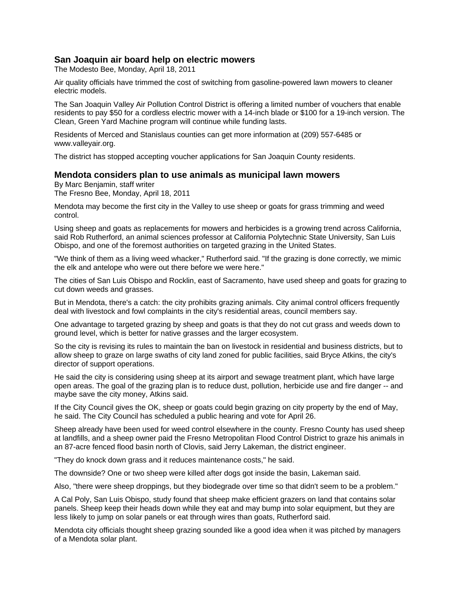# **San Joaquin air board help on electric mowers**

The Modesto Bee, Monday, April 18, 2011

Air quality officials have trimmed the cost of switching from gasoline-powered lawn mowers to cleaner electric models.

The San Joaquin Valley Air Pollution Control District is offering a limited number of vouchers that enable residents to pay \$50 for a cordless electric mower with a 14-inch blade or \$100 for a 19-inch version. The Clean, Green Yard Machine program will continue while funding lasts.

Residents of Merced and Stanislaus counties can get more information at (209) 557-6485 or www.valleyair.org.

The district has stopped accepting voucher applications for San Joaquin County residents.

### **Mendota considers plan to use animals as municipal lawn mowers**

By Marc Benjamin, staff writer

The Fresno Bee, Monday, April 18, 2011

Mendota may become the first city in the Valley to use sheep or goats for grass trimming and weed control.

Using sheep and goats as replacements for mowers and herbicides is a growing trend across California, said Rob Rutherford, an animal sciences professor at California Polytechnic State University, San Luis Obispo, and one of the foremost authorities on targeted grazing in the United States.

"We think of them as a living weed whacker," Rutherford said. "If the grazing is done correctly, we mimic the elk and antelope who were out there before we were here."

The cities of San Luis Obispo and Rocklin, east of Sacramento, have used sheep and goats for grazing to cut down weeds and grasses.

But in Mendota, there's a catch: the city prohibits grazing animals. City animal control officers frequently deal with livestock and fowl complaints in the city's residential areas, council members say.

One advantage to targeted grazing by sheep and goats is that they do not cut grass and weeds down to ground level, which is better for native grasses and the larger ecosystem.

So the city is revising its rules to maintain the ban on livestock in residential and business districts, but to allow sheep to graze on large swaths of city land zoned for public facilities, said Bryce Atkins, the city's director of support operations.

He said the city is considering using sheep at its airport and sewage treatment plant, which have large open areas. The goal of the grazing plan is to reduce dust, pollution, herbicide use and fire danger -- and maybe save the city money, Atkins said.

If the City Council gives the OK, sheep or goats could begin grazing on city property by the end of May, he said. The City Council has scheduled a public hearing and vote for April 26.

Sheep already have been used for weed control elsewhere in the county. Fresno County has used sheep at landfills, and a sheep owner paid the Fresno Metropolitan Flood Control District to graze his animals in an 87-acre fenced flood basin north of Clovis, said Jerry Lakeman, the district engineer.

"They do knock down grass and it reduces maintenance costs," he said.

The downside? One or two sheep were killed after dogs got inside the basin, Lakeman said.

Also, "there were sheep droppings, but they biodegrade over time so that didn't seem to be a problem."

A Cal Poly, San Luis Obispo, study found that sheep make efficient grazers on land that contains solar panels. Sheep keep their heads down while they eat and may bump into solar equipment, but they are less likely to jump on solar panels or eat through wires than goats, Rutherford said.

Mendota city officials thought sheep grazing sounded like a good idea when it was pitched by managers of a Mendota solar plant.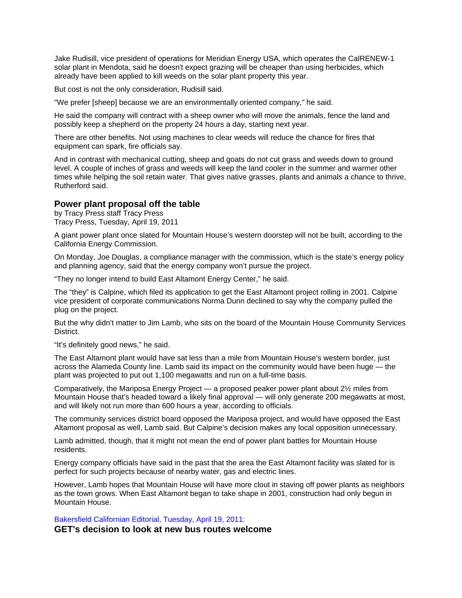Jake Rudisill, vice president of operations for Meridian Energy USA, which operates the CalRENEW-1 solar plant in Mendota, said he doesn't expect grazing will be cheaper than using herbicides, which already have been applied to kill weeds on the solar plant property this year.

But cost is not the only consideration, Rudisill said.

"We prefer [sheep] because we are an environmentally oriented company," he said.

He said the company will contract with a sheep owner who will move the animals, fence the land and possibly keep a shepherd on the property 24 hours a day, starting next year.

There are other benefits. Not using machines to clear weeds will reduce the chance for fires that equipment can spark, fire officials say.

And in contrast with mechanical cutting, sheep and goats do not cut grass and weeds down to ground level. A couple of inches of grass and weeds will keep the land cooler in the summer and warmer other times while helping the soil retain water. That gives native grasses, plants and animals a chance to thrive, Rutherford said.

## **Power plant proposal off the table**

by Tracy Press staff Tracy Press Tracy Press, Tuesday, April 19, 2011

A giant power plant once slated for Mountain House's western doorstep will not be built, according to the California Energy Commission.

On Monday, Joe Douglas, a compliance manager with the commission, which is the state's energy policy and planning agency, said that the energy company won't pursue the project.

"They no longer intend to build East Altamont Energy Center," he said.

The "they" is Calpine, which filed its application to get the East Altamont project rolling in 2001. Calpine vice president of corporate communications Norma Dunn declined to say why the company pulled the plug on the project.

But the why didn't matter to Jim Lamb, who sits on the board of the Mountain House Community Services District.

"It's definitely good news," he said.

The East Altamont plant would have sat less than a mile from Mountain House's western border, just across the Alameda County line. Lamb said its impact on the community would have been huge — the plant was projected to put out 1,100 megawatts and run on a full-time basis.

Comparatively, the Mariposa Energy Project — a proposed peaker power plant about 2½ miles from Mountain House that's headed toward a likely final approval — will only generate 200 megawatts at most, and will likely not run more than 600 hours a year, according to officials.

The community services district board opposed the Mariposa project, and would have opposed the East Altamont proposal as well, Lamb said. But Calpine's decision makes any local opposition unnecessary.

Lamb admitted, though, that it might not mean the end of power plant battles for Mountain House residents.

Energy company officials have said in the past that the area the East Altamont facility was slated for is perfect for such projects because of nearby water, gas and electric lines.

However, Lamb hopes that Mountain House will have more clout in staving off power plants as neighbors as the town grows. When East Altamont began to take shape in 2001, construction had only begun in Mountain House.

Bakersfield Californian Editorial, Tuesday, April 19, 2011:

**GET's decision to look at new bus routes welcome**